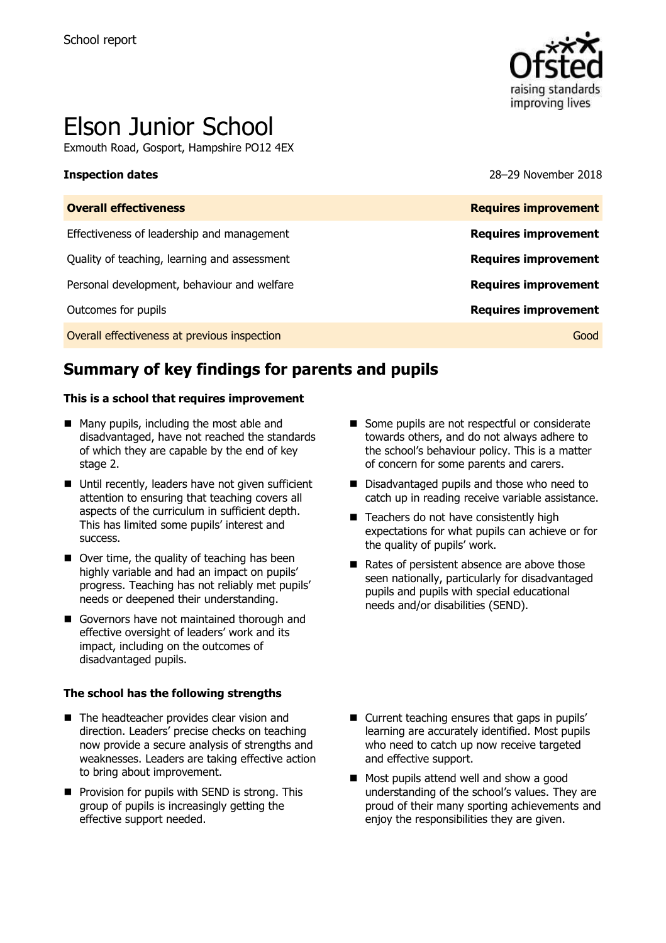

# Elson Junior School

Exmouth Road, Gosport, Hampshire PO12 4EX

**Inspection dates** 28–29 November 2018

| <b>Requires improvement</b> |
|-----------------------------|
| <b>Requires improvement</b> |
| <b>Requires improvement</b> |
| <b>Requires improvement</b> |
| <b>Requires improvement</b> |
| Good                        |
|                             |

# **Summary of key findings for parents and pupils**

### **This is a school that requires improvement**

- Many pupils, including the most able and disadvantaged, have not reached the standards of which they are capable by the end of key stage 2.
- Until recently, leaders have not given sufficient attention to ensuring that teaching covers all aspects of the curriculum in sufficient depth. This has limited some pupils' interest and success.
- Over time, the quality of teaching has been highly variable and had an impact on pupils' progress. Teaching has not reliably met pupils' needs or deepened their understanding.
- Governors have not maintained thorough and effective oversight of leaders' work and its impact, including on the outcomes of disadvantaged pupils.

### **The school has the following strengths**

- The headteacher provides clear vision and direction. Leaders' precise checks on teaching now provide a secure analysis of strengths and weaknesses. Leaders are taking effective action to bring about improvement.
- **Provision for pupils with SEND is strong. This** group of pupils is increasingly getting the effective support needed.
- Some pupils are not respectful or considerate towards others, and do not always adhere to the school's behaviour policy. This is a matter of concern for some parents and carers.
- Disadvantaged pupils and those who need to catch up in reading receive variable assistance.
- Teachers do not have consistently high expectations for what pupils can achieve or for the quality of pupils' work.
- Rates of persistent absence are above those seen nationally, particularly for disadvantaged pupils and pupils with special educational needs and/or disabilities (SEND).

- Current teaching ensures that gaps in pupils' learning are accurately identified. Most pupils who need to catch up now receive targeted and effective support.
- Most pupils attend well and show a good understanding of the school's values. They are proud of their many sporting achievements and enjoy the responsibilities they are given.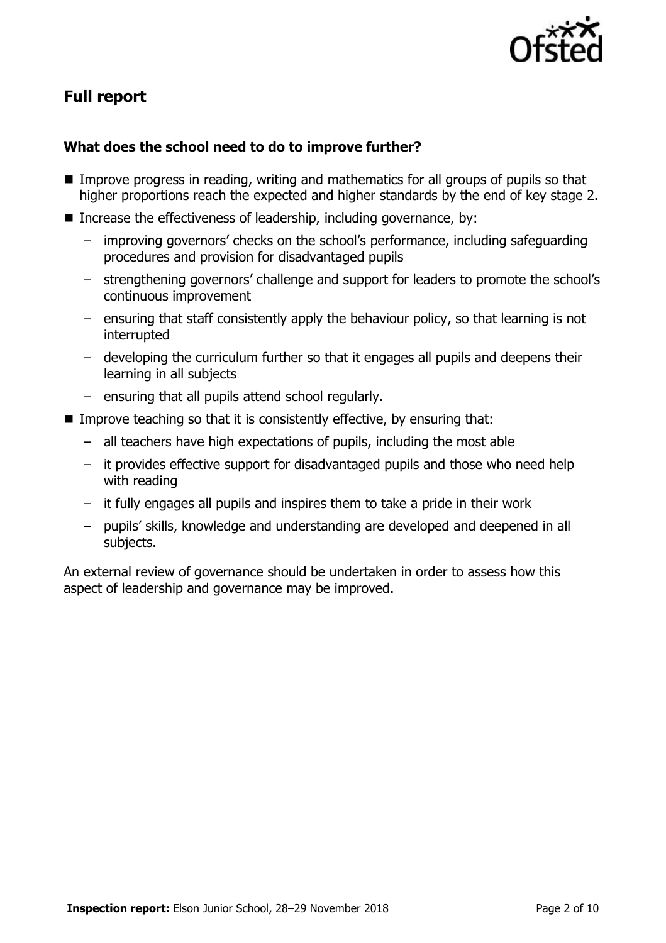

# **Full report**

### **What does the school need to do to improve further?**

- **IMPROVE PROGET IS THE IMPROVE PROGETS** in reading, writing and mathematics for all groups of pupils so that higher proportions reach the expected and higher standards by the end of key stage 2.
- Increase the effectiveness of leadership, including governance, by:
	- improving governors' checks on the school's performance, including safeguarding procedures and provision for disadvantaged pupils
	- strengthening governors' challenge and support for leaders to promote the school's continuous improvement
	- ensuring that staff consistently apply the behaviour policy, so that learning is not interrupted
	- developing the curriculum further so that it engages all pupils and deepens their learning in all subjects
	- ensuring that all pupils attend school regularly.
- Improve teaching so that it is consistently effective, by ensuring that:
	- all teachers have high expectations of pupils, including the most able
	- it provides effective support for disadvantaged pupils and those who need help with reading
	- it fully engages all pupils and inspires them to take a pride in their work
	- pupils' skills, knowledge and understanding are developed and deepened in all subjects.

An external review of governance should be undertaken in order to assess how this aspect of leadership and governance may be improved.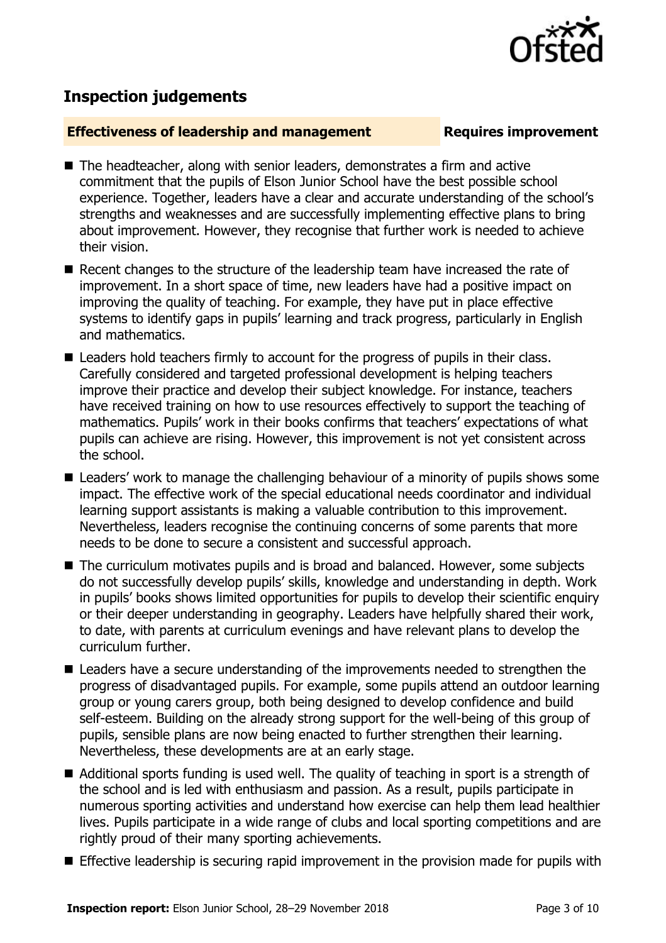

## **Inspection judgements**

### **Effectiveness of leadership and management Requires improvement**

- The headteacher, along with senior leaders, demonstrates a firm and active commitment that the pupils of Elson Junior School have the best possible school experience. Together, leaders have a clear and accurate understanding of the school's strengths and weaknesses and are successfully implementing effective plans to bring about improvement. However, they recognise that further work is needed to achieve their vision.
- Recent changes to the structure of the leadership team have increased the rate of improvement. In a short space of time, new leaders have had a positive impact on improving the quality of teaching. For example, they have put in place effective systems to identify gaps in pupils' learning and track progress, particularly in English and mathematics.
- Leaders hold teachers firmly to account for the progress of pupils in their class. Carefully considered and targeted professional development is helping teachers improve their practice and develop their subject knowledge. For instance, teachers have received training on how to use resources effectively to support the teaching of mathematics. Pupils' work in their books confirms that teachers' expectations of what pupils can achieve are rising. However, this improvement is not yet consistent across the school.
- Leaders' work to manage the challenging behaviour of a minority of pupils shows some impact. The effective work of the special educational needs coordinator and individual learning support assistants is making a valuable contribution to this improvement. Nevertheless, leaders recognise the continuing concerns of some parents that more needs to be done to secure a consistent and successful approach.
- The curriculum motivates pupils and is broad and balanced. However, some subjects do not successfully develop pupils' skills, knowledge and understanding in depth. Work in pupils' books shows limited opportunities for pupils to develop their scientific enquiry or their deeper understanding in geography. Leaders have helpfully shared their work, to date, with parents at curriculum evenings and have relevant plans to develop the curriculum further.
- Leaders have a secure understanding of the improvements needed to strengthen the progress of disadvantaged pupils. For example, some pupils attend an outdoor learning group or young carers group, both being designed to develop confidence and build self-esteem. Building on the already strong support for the well-being of this group of pupils, sensible plans are now being enacted to further strengthen their learning. Nevertheless, these developments are at an early stage.
- Additional sports funding is used well. The quality of teaching in sport is a strength of the school and is led with enthusiasm and passion. As a result, pupils participate in numerous sporting activities and understand how exercise can help them lead healthier lives. Pupils participate in a wide range of clubs and local sporting competitions and are rightly proud of their many sporting achievements.
- **Effective leadership is securing rapid improvement in the provision made for pupils with**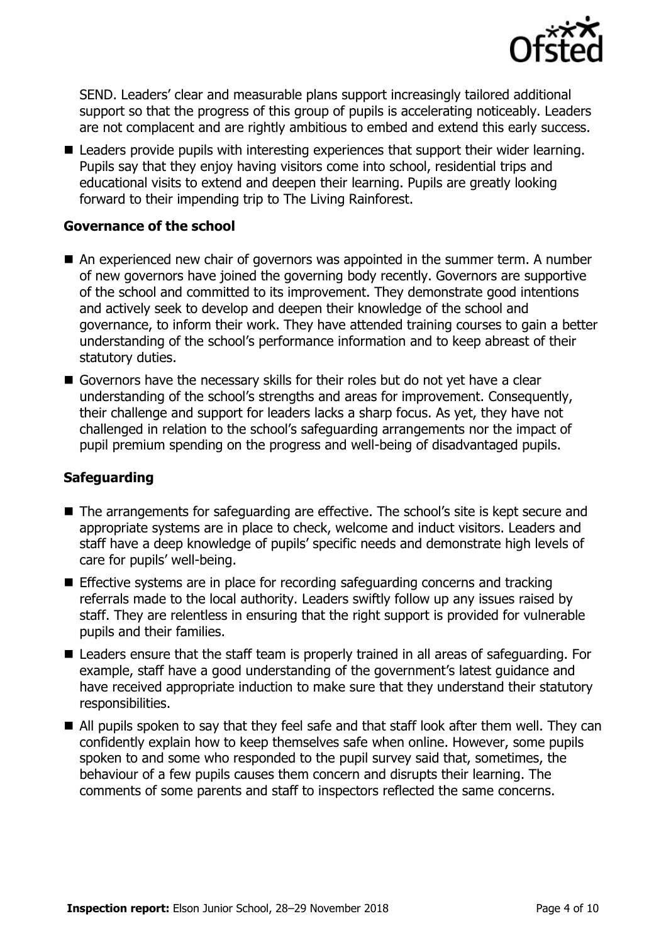

SEND. Leaders' clear and measurable plans support increasingly tailored additional support so that the progress of this group of pupils is accelerating noticeably. Leaders are not complacent and are rightly ambitious to embed and extend this early success.

■ Leaders provide pupils with interesting experiences that support their wider learning. Pupils say that they enjoy having visitors come into school, residential trips and educational visits to extend and deepen their learning. Pupils are greatly looking forward to their impending trip to The Living Rainforest.

### **Governance of the school**

- An experienced new chair of governors was appointed in the summer term. A number of new governors have joined the governing body recently. Governors are supportive of the school and committed to its improvement. They demonstrate good intentions and actively seek to develop and deepen their knowledge of the school and governance, to inform their work. They have attended training courses to gain a better understanding of the school's performance information and to keep abreast of their statutory duties.
- Governors have the necessary skills for their roles but do not yet have a clear understanding of the school's strengths and areas for improvement. Consequently, their challenge and support for leaders lacks a sharp focus. As yet, they have not challenged in relation to the school's safeguarding arrangements nor the impact of pupil premium spending on the progress and well-being of disadvantaged pupils.

### **Safeguarding**

- The arrangements for safeguarding are effective. The school's site is kept secure and appropriate systems are in place to check, welcome and induct visitors. Leaders and staff have a deep knowledge of pupils' specific needs and demonstrate high levels of care for pupils' well-being.
- **Effective systems are in place for recording safeguarding concerns and tracking** referrals made to the local authority. Leaders swiftly follow up any issues raised by staff. They are relentless in ensuring that the right support is provided for vulnerable pupils and their families.
- Leaders ensure that the staff team is properly trained in all areas of safeguarding. For example, staff have a good understanding of the government's latest guidance and have received appropriate induction to make sure that they understand their statutory responsibilities.
- All pupils spoken to say that they feel safe and that staff look after them well. They can confidently explain how to keep themselves safe when online. However, some pupils spoken to and some who responded to the pupil survey said that, sometimes, the behaviour of a few pupils causes them concern and disrupts their learning. The comments of some parents and staff to inspectors reflected the same concerns.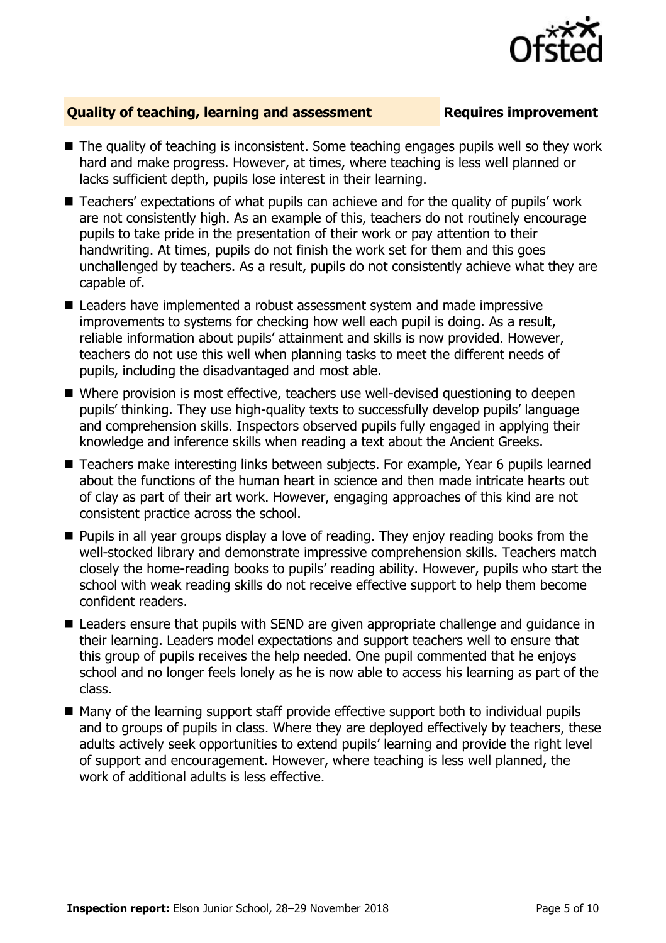

### **Quality of teaching, learning and assessment Requires improvement**

- The quality of teaching is inconsistent. Some teaching engages pupils well so they work hard and make progress. However, at times, where teaching is less well planned or lacks sufficient depth, pupils lose interest in their learning.
- Teachers' expectations of what pupils can achieve and for the quality of pupils' work are not consistently high. As an example of this, teachers do not routinely encourage pupils to take pride in the presentation of their work or pay attention to their handwriting. At times, pupils do not finish the work set for them and this goes unchallenged by teachers. As a result, pupils do not consistently achieve what they are capable of.
- Leaders have implemented a robust assessment system and made impressive improvements to systems for checking how well each pupil is doing. As a result, reliable information about pupils' attainment and skills is now provided. However, teachers do not use this well when planning tasks to meet the different needs of pupils, including the disadvantaged and most able.
- Where provision is most effective, teachers use well-devised questioning to deepen pupils' thinking. They use high-quality texts to successfully develop pupils' language and comprehension skills. Inspectors observed pupils fully engaged in applying their knowledge and inference skills when reading a text about the Ancient Greeks.
- Teachers make interesting links between subjects. For example, Year 6 pupils learned about the functions of the human heart in science and then made intricate hearts out of clay as part of their art work. However, engaging approaches of this kind are not consistent practice across the school.
- **Pupils in all year groups display a love of reading. They enjoy reading books from the** well-stocked library and demonstrate impressive comprehension skills. Teachers match closely the home-reading books to pupils' reading ability. However, pupils who start the school with weak reading skills do not receive effective support to help them become confident readers.
- Leaders ensure that pupils with SEND are given appropriate challenge and guidance in their learning. Leaders model expectations and support teachers well to ensure that this group of pupils receives the help needed. One pupil commented that he enjoys school and no longer feels lonely as he is now able to access his learning as part of the class.
- Many of the learning support staff provide effective support both to individual pupils and to groups of pupils in class. Where they are deployed effectively by teachers, these adults actively seek opportunities to extend pupils' learning and provide the right level of support and encouragement. However, where teaching is less well planned, the work of additional adults is less effective.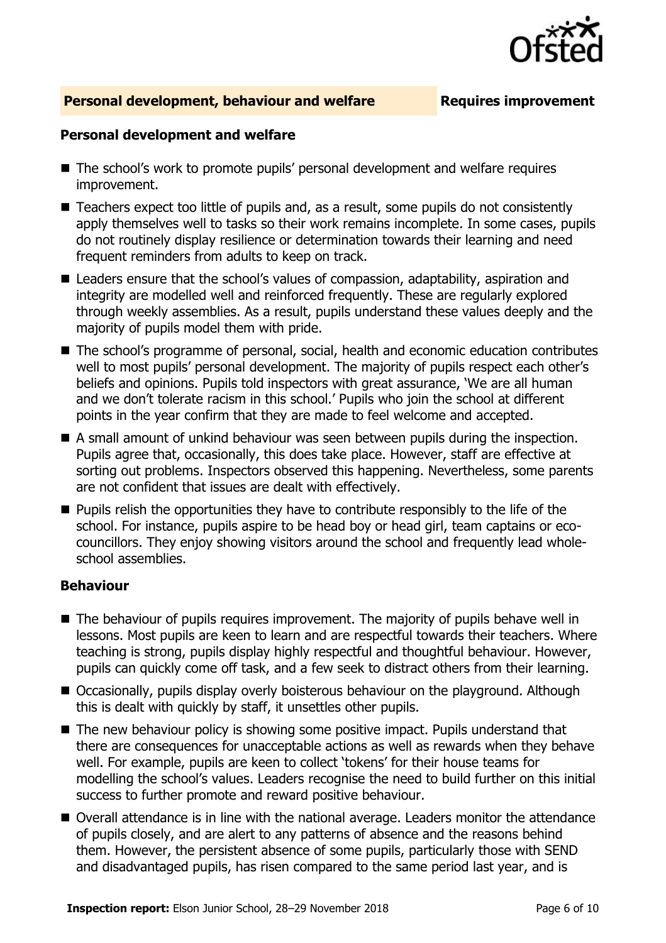

### **Personal development, behaviour and welfare Fig. 2.1 Requires improvement**

### **Personal development and welfare**

- The school's work to promote pupils' personal development and welfare requires improvement.
- Teachers expect too little of pupils and, as a result, some pupils do not consistently apply themselves well to tasks so their work remains incomplete. In some cases, pupils do not routinely display resilience or determination towards their learning and need frequent reminders from adults to keep on track.
- Leaders ensure that the school's values of compassion, adaptability, aspiration and integrity are modelled well and reinforced frequently. These are regularly explored through weekly assemblies. As a result, pupils understand these values deeply and the majority of pupils model them with pride.
- The school's programme of personal, social, health and economic education contributes well to most pupils' personal development. The majority of pupils respect each other's beliefs and opinions. Pupils told inspectors with great assurance, 'We are all human and we don't tolerate racism in this school.' Pupils who join the school at different points in the year confirm that they are made to feel welcome and accepted.
- A small amount of unkind behaviour was seen between pupils during the inspection. Pupils agree that, occasionally, this does take place. However, staff are effective at sorting out problems. Inspectors observed this happening. Nevertheless, some parents are not confident that issues are dealt with effectively.
- $\blacksquare$  Pupils relish the opportunities they have to contribute responsibly to the life of the school. For instance, pupils aspire to be head boy or head girl, team captains or ecocouncillors. They enjoy showing visitors around the school and frequently lead wholeschool assemblies.

### **Behaviour**

- The behaviour of pupils requires improvement. The majority of pupils behave well in lessons. Most pupils are keen to learn and are respectful towards their teachers. Where teaching is strong, pupils display highly respectful and thoughtful behaviour. However, pupils can quickly come off task, and a few seek to distract others from their learning.
- Occasionally, pupils display overly boisterous behaviour on the playground. Although this is dealt with quickly by staff, it unsettles other pupils.
- The new behaviour policy is showing some positive impact. Pupils understand that there are consequences for unacceptable actions as well as rewards when they behave well. For example, pupils are keen to collect 'tokens' for their house teams for modelling the school's values. Leaders recognise the need to build further on this initial success to further promote and reward positive behaviour.
- Overall attendance is in line with the national average. Leaders monitor the attendance of pupils closely, and are alert to any patterns of absence and the reasons behind them. However, the persistent absence of some pupils, particularly those with SEND and disadvantaged pupils, has risen compared to the same period last year, and is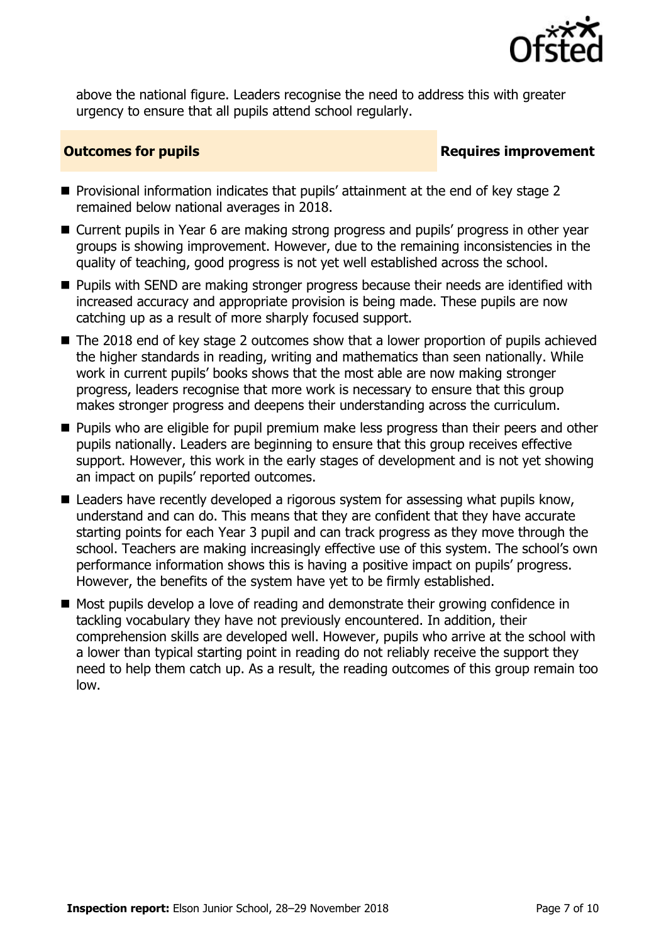

above the national figure. Leaders recognise the need to address this with greater urgency to ensure that all pupils attend school regularly.

### **Outcomes for pupils Requires improvement**

- **Provisional information indicates that pupils' attainment at the end of key stage 2** remained below national averages in 2018.
- Current pupils in Year 6 are making strong progress and pupils' progress in other year groups is showing improvement. However, due to the remaining inconsistencies in the quality of teaching, good progress is not yet well established across the school.
- **Pupils with SEND are making stronger progress because their needs are identified with** increased accuracy and appropriate provision is being made. These pupils are now catching up as a result of more sharply focused support.
- The 2018 end of key stage 2 outcomes show that a lower proportion of pupils achieved the higher standards in reading, writing and mathematics than seen nationally. While work in current pupils' books shows that the most able are now making stronger progress, leaders recognise that more work is necessary to ensure that this group makes stronger progress and deepens their understanding across the curriculum.
- **Pupils who are eligible for pupil premium make less progress than their peers and other** pupils nationally. Leaders are beginning to ensure that this group receives effective support. However, this work in the early stages of development and is not yet showing an impact on pupils' reported outcomes.
- Leaders have recently developed a rigorous system for assessing what pupils know, understand and can do. This means that they are confident that they have accurate starting points for each Year 3 pupil and can track progress as they move through the school. Teachers are making increasingly effective use of this system. The school's own performance information shows this is having a positive impact on pupils' progress. However, the benefits of the system have yet to be firmly established.
- Most pupils develop a love of reading and demonstrate their growing confidence in tackling vocabulary they have not previously encountered. In addition, their comprehension skills are developed well. However, pupils who arrive at the school with a lower than typical starting point in reading do not reliably receive the support they need to help them catch up. As a result, the reading outcomes of this group remain too low.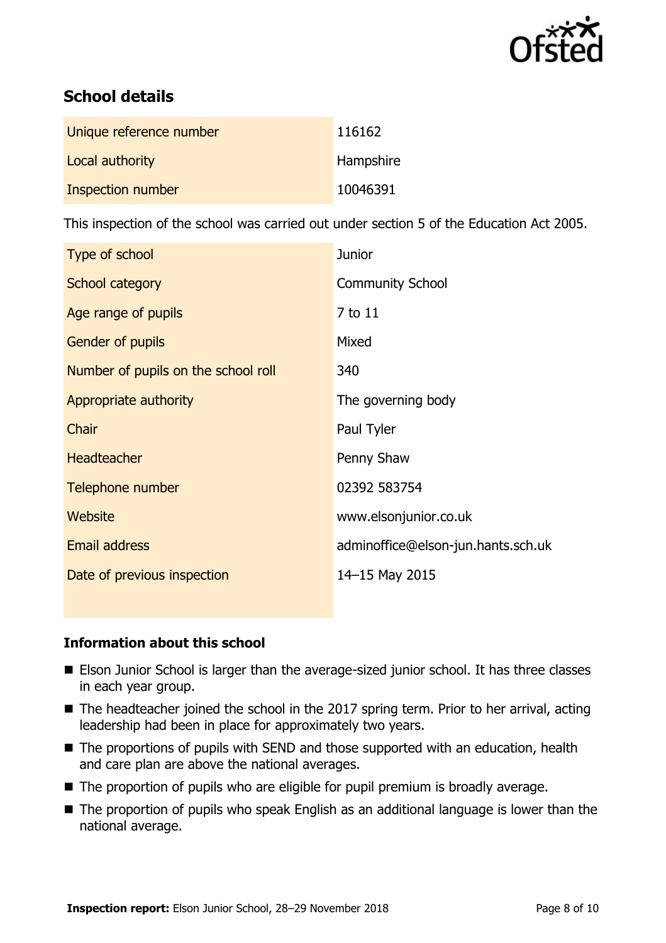

# **School details**

| Unique reference number | 116162    |
|-------------------------|-----------|
| Local authority         | Hampshire |
| Inspection number       | 10046391  |

This inspection of the school was carried out under section 5 of the Education Act 2005.

| Type of school                      | <b>Junior</b>                      |
|-------------------------------------|------------------------------------|
| School category                     | <b>Community School</b>            |
| Age range of pupils                 | 7 to 11                            |
| Gender of pupils                    | Mixed                              |
| Number of pupils on the school roll | 340                                |
| Appropriate authority               | The governing body                 |
| Chair                               | Paul Tyler                         |
| <b>Headteacher</b>                  | Penny Shaw                         |
| Telephone number                    | 02392 583754                       |
| <b>Website</b>                      | www.elsonjunior.co.uk              |
| Email address                       | adminoffice@elson-jun.hants.sch.uk |
| Date of previous inspection         | 14-15 May 2015                     |

### **Information about this school**

- **Elson Junior School is larger than the average-sized junior school. It has three classes** in each year group.
- The headteacher joined the school in the 2017 spring term. Prior to her arrival, acting leadership had been in place for approximately two years.
- The proportions of pupils with SEND and those supported with an education, health and care plan are above the national averages.
- The proportion of pupils who are eligible for pupil premium is broadly average.
- The proportion of pupils who speak English as an additional language is lower than the national average.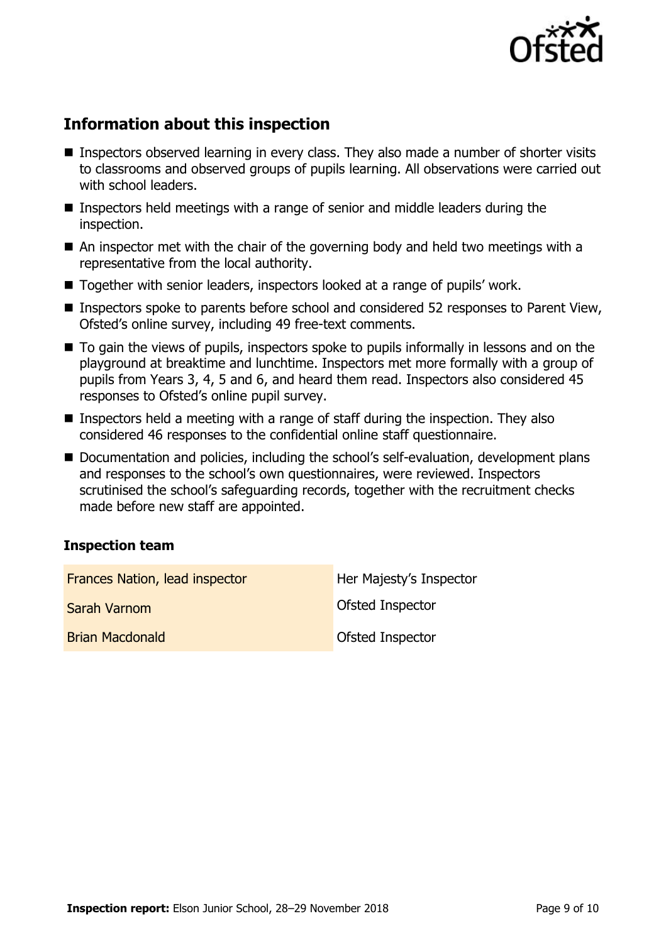

# **Information about this inspection**

- Inspectors observed learning in every class. They also made a number of shorter visits to classrooms and observed groups of pupils learning. All observations were carried out with school leaders.
- Inspectors held meetings with a range of senior and middle leaders during the inspection.
- An inspector met with the chair of the governing body and held two meetings with a representative from the local authority.
- Together with senior leaders, inspectors looked at a range of pupils' work.
- Inspectors spoke to parents before school and considered 52 responses to Parent View, Ofsted's online survey, including 49 free-text comments.
- $\blacksquare$  To gain the views of pupils, inspectors spoke to pupils informally in lessons and on the playground at breaktime and lunchtime. Inspectors met more formally with a group of pupils from Years 3, 4, 5 and 6, and heard them read. Inspectors also considered 45 responses to Ofsted's online pupil survey.
- **Inspectors held a meeting with a range of staff during the inspection. They also** considered 46 responses to the confidential online staff questionnaire.
- Documentation and policies, including the school's self-evaluation, development plans and responses to the school's own questionnaires, were reviewed. Inspectors scrutinised the school's safeguarding records, together with the recruitment checks made before new staff are appointed.

### **Inspection team**

| <b>Frances Nation, lead inspector</b> | Her Majesty's Inspector |
|---------------------------------------|-------------------------|
| Sarah Varnom                          | <b>Ofsted Inspector</b> |
| <b>Brian Macdonald</b>                | <b>Ofsted Inspector</b> |